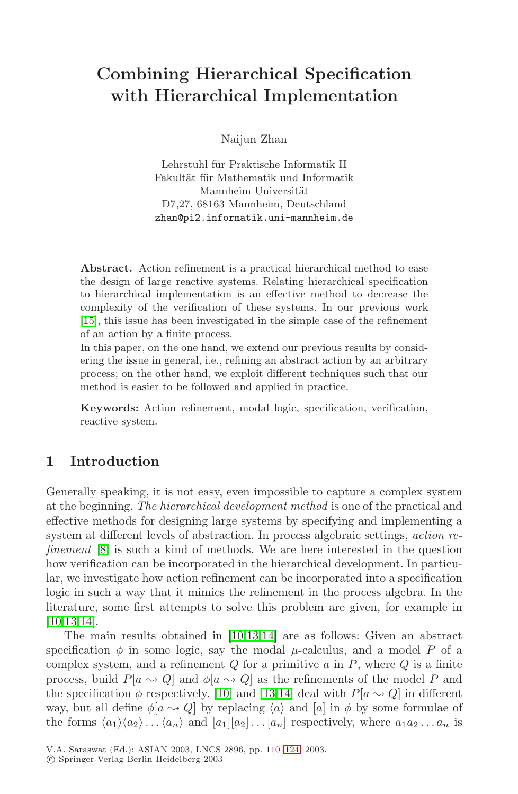# **Combining Hierarchical Specification with Hierarchical Implementation**

Naijun Zhan

Lehrstuhl für Praktische Informatik II Fakultät für Mathematik und Informatik Mannheim Universität D7,27, 68163 Mannheim, Deutschland zhan@pi2.informatik.uni-mannheim.de

**Abstract.** Action refinement is a practical hierarchical method to ease the design of large reactive systems. Relating hierarchical specification to hierarchical implementation is an effective method to decrease the complexity of the verification of these systems. In our previous work [\[15](#page-14-0)], this issue has been investigated in the simple case of the refinement of an action by a finite process.

In this paper, on the one hand, we extend our previous results by considering the issue in general, i.e., refining an abstract action by an arbitrary process; on the other hand, we exploit different techniques such that our method is easier to be followed and applied in practice.

**Keywords:** Action refinement, modal logic, specification, verification, reactive system.

## **1 Introduction**

Generally speaking, it is not easy, even impossible to capture a complex system at the beginning. *The hierarchical development method* is one of the practical and effective methods for designing large systems by specifying and implementing a system at different levels of abstraction. In process algebraic settings, *action refinement* [\[8](#page-14-0)] is such a kind of methods. We are here interested in the question how verification can be incorporated in the hierarchical development. In particular, we investigate how action refinement can be incorporated into a specification logic in such a way that it mimics the refinement in the process algebra. In the literature, some first attempts to solve this problem are given, for example in [\[10,13,14](#page-14-0)].

The main results obtained in [\[10,13,14](#page-14-0)] are as follows: Given an abstract specification  $\phi$  in some logic, say the modal  $\mu$ -calculus, and a model P of a complex system, and a refinement  $Q$  for a primitive  $a$  in  $P$ , where  $Q$  is a finite process, build  $P[a \leadsto Q]$  and  $\phi[a \leadsto Q]$  as the refinements of the model P and the specification  $\phi$  respectively. [\[10](#page-14-0)] and [\[13,14](#page-14-0)] deal with  $P[a \rightarrow Q]$  in different way, but all define  $\phi[a \leadsto Q]$  by replacing  $\langle a \rangle$  and  $[a]$  in  $\phi$  by some formulae of the forms  $\langle a_1 \rangle \langle a_2 \rangle \dots \langle a_n \rangle$  and  $[a_1][a_2]\dots[a_n]$  respectively, where  $a_1 a_2 \dots a_n$  is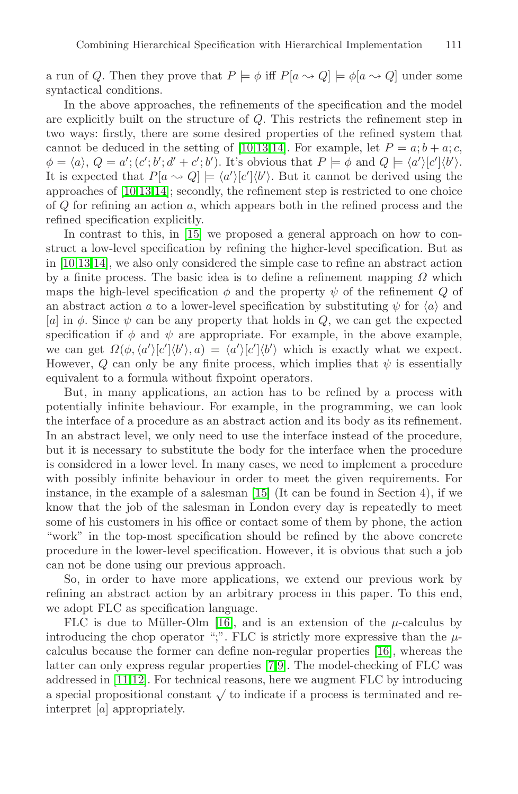a run of Q. Then they prove that  $P \models \phi$  iff  $P[a \leadsto Q] \models \phi[a \leadsto Q]$  under some syntactical conditions.

In the above approaches, the refinements of the specification and the model are explicitly built on the structure of Q. This restricts the refinement step in two ways: firstly, there are some desired properties of the refined system that cannot be deduced in the setting of [\[10,13,14](#page-14-0)]. For example, let  $P = a; b + a; c$ ,  $\phi = \langle a \rangle, Q = a'; (c'; b'; d' + c'; b').$  It's obvious that  $P \models \phi$  and  $Q \models \langle a' \rangle [c'] \langle b' \rangle$ . It is expected that  $P[a \leadsto Q] \models \langle a' \rangle [c'] \langle b' \rangle$ . But it cannot be derived using the approaches of [\[10,13,14](#page-14-0)]; secondly, the refinement step is restricted to one choice of  $Q$  for refining an action  $a$ , which appears both in the refined process and the refined specification explicitly.

In contrast to this, in [\[15](#page-14-0)] we proposed a general approach on how to construct a low-level specification by refining the higher-level specification. But as in [\[10,13,14](#page-14-0)], we also only considered the simple case to refine an abstract action by a finite process. The basic idea is to define a refinement mapping  $\Omega$  which maps the high-level specification  $\phi$  and the property  $\psi$  of the refinement Q of an abstract action a to a lower-level specification by substituting  $\psi$  for  $\langle a \rangle$  and [a] in  $\phi$ . Since  $\psi$  can be any property that holds in Q, we can get the expected specification if  $\phi$  and  $\psi$  are appropriate. For example, in the above example, we can get  $\Omega(\phi, \langle a' \rangle [c'] \langle b' \rangle, a) = \langle a' \rangle [c'] \langle b' \rangle$  which is exactly what we expect. However, Q can only be any finite process, which implies that  $\psi$  is essentially equivalent to a formula without fixpoint operators.

But, in many applications, an action has to be refined by a process with potentially infinite behaviour. For example, in the programming, we can look the interface of a procedure as an abstract action and its body as its refinement. In an abstract level, we only need to use the interface instead of the procedure, but it is necessary to substitute the body for the interface when the procedure is considered in a lower level. In many cases, we need to implement a procedure with possibly infinite behaviour in order to meet the given requirements. For i[n](#page-14-0)stance, in the example of a salesman  $|15|$  (It can be found in Section 4), if we know that the job of the salesman in London every day is repeatedly to meet some of his customers in his office or contact some of them by phone, the action "work" in the top-most specification should be refined by the above concrete procedure in the lower-level specification. However, it is obvious that such a job can not be done using our previous approach.

So, in order to have more applications, we extend our previous work by refining an abstract action by an arbitrary process in this paper. To this end, we adopt FLC as specification language.

FLC is due to Müller-Olm [\[16](#page-14-0)], and is an extension of the  $\mu$ -calculus by introducing the chop operator ";". FLC is strictly more expressive than the  $\mu$ calculus because the former can define non-regular properties [\[16](#page-14-0)], whereas the latter can only express regular properties [\[7,9](#page-14-0)]. The model-checking of FLC was addressed in [\[11,12](#page-14-0)]. For technical reasons, here we augment FLC by introducing a special propositional constant  $\sqrt{}$  to indicate if a process is terminated and reinterpret [a] appropriately.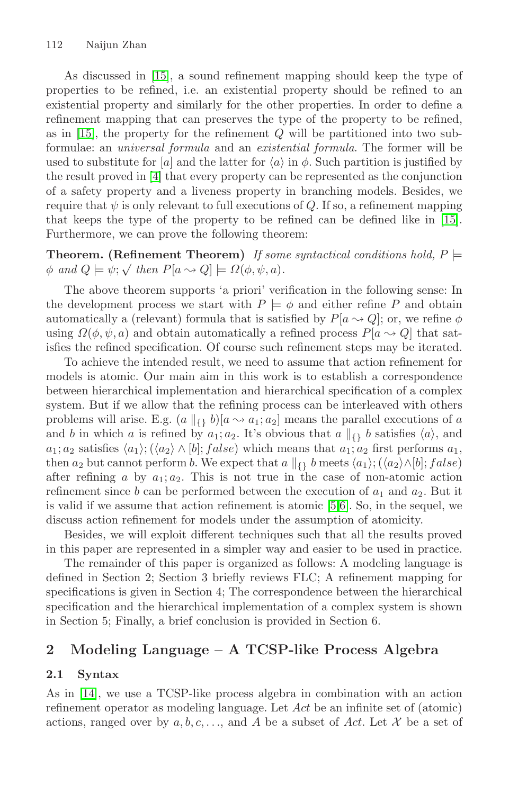As discussed in [\[15](#page-14-0)], a sound refinement mapping should keep the type of properties to be refined, i.e. an existential property should be refined to an existential property and similarly for the other properties. In order to define a refinement mapping that can preserves the type of the property to be refined, as in  $[15]$  $[15]$ , the property for the refinement  $Q$  will be partitioned into two subformulae: an *universal formula* and an *existential formula*. The former will be used to substitute for [a] and the latter for  $\langle a \rangle$  in  $\phi$ . Such partition is justified by the result proved i[n](#page-14-0) [\[4](#page-14-0)] that every property can be represented as the conjunction of a safety property and a liveness property in branching models. Besides, we require that  $\psi$  is only relevant to full executions of Q. If so, a refinement mapping that keeps the type of the property to be refined can be defined like in [\[15](#page-14-0)]. Furthermore, we can prove the following theorem:

**Theorem.** (Refinement Theorem) If some syntactical conditions hold,  $P \models$  $\phi$  *and*  $Q \models \psi; \sqrt{t}$  *then*  $P[a \leadsto Q] \models \Omega(\phi, \psi, a)$ .

The above theorem supports 'a priori' verification in the following sense: In the development process we start with  $P \models \phi$  and either refine P and obtain automatically a (relevant) formula that is satisfied by  $P[a \sim Q]$ ; or, we refine  $\phi$ using  $\Omega(\phi, \psi, a)$  and obtain automatically a refined process  $P[a \leadsto Q]$  that satisfies the refined specification. Of course such refinement steps may be iterated.

To achieve the intended result, we need to assume that action refinement for models is atomic. Our main aim in this work is to establish a correspondence between hierarchical implementation and hierarchical specification of a complex system. But if we allow that the refining process can be interleaved with others problems will arise. E.g.  $(a \|_{\{1\}} b)[a \leadsto a_1; a_2]$  means the parallel executions of a and b in which a is refined by  $a_1; a_2$ . It's obvious that  $a \parallel_{\{\} b} b$  satisfies  $\langle a \rangle$ , and  $a_1; a_2$  satisfies  $\langle a_1 \rangle$ ;  $\langle \langle a_2 \rangle \wedge [b]$ ;  $false$ ) which means that  $a_1; a_2$  first performs  $a_1$ , then  $a_2$  but cannot perform b. We expect that  $a \parallel_{\{\} b$  meets  $\langle a_1 \rangle; (\langle a_2 \rangle \wedge [b]; false)$ after refining a by  $a_1; a_2$ . This is not true in the case of non-atomic action refinement since b can be performed between the execution of  $a_1$  and  $a_2$ . But it is valid if we assume that action refinement is atomic [\[5,6](#page-14-0)]. So, in the sequel, we discuss action refinement for models under the assumption of atomicity.

Besides, we will exploit different techniques such that all the results proved in this paper are represented in a simpler way and easier to be used in practice.

The remainder of this paper is organized as follows: A modeling language is defined in Section 2; Section 3 briefly reviews FLC; A refinement mapping for specifications is given in Section 4; The correspondence between the hierarchical specification and the hierarchical implementation of a complex system is shown in Section 5; Finally, a brief conclusion is provided in Section 6.

## **2 Modeling Language – A TCSP-like Process Algebra**

#### **2.1 Syntax**

As in [\[14](#page-14-0)], we use a TCSP-like process algebra in combination with an action refinement operator as modeling language. Let Act be an infinite set of (atomic) actions, ranged over by  $a, b, c, \ldots$ , and A be a subset of Act. Let X be a set of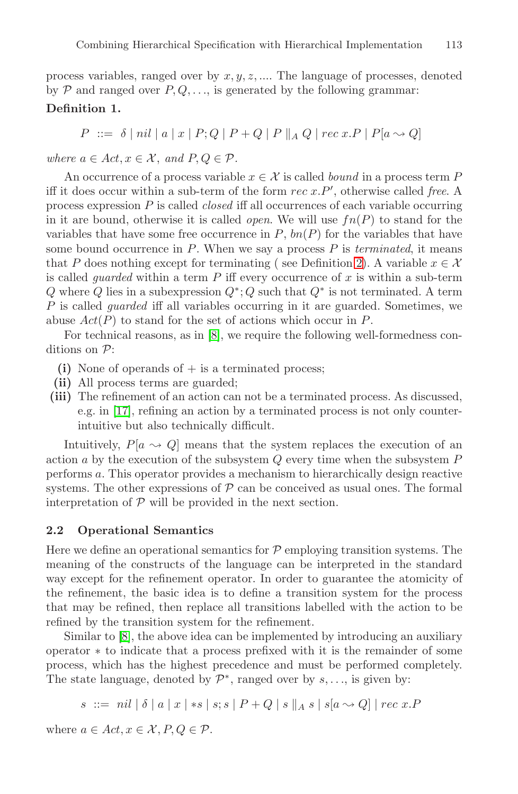process variables, ranged over by  $x, y, z, \dots$ . The language of processes, denoted by  $P$  and ranged over  $P, Q, \ldots$ , is generated by the following grammar:

## **Definition 1.**

 $P \ ::= \ \delta \ | \ nil \ | \ a \ | \ x \ | \ P \ Q \ | \ P + Q \ | \ P \parallel_A Q \ | \ rec \ x . P \ | \ P [a \leadsto Q]$ 

*where*  $a \in Act, x \in \mathcal{X}$ , and  $P, Q \in \mathcal{P}$ .

An occurrence of a process variable  $x \in \mathcal{X}$  is called *bound* in a process term P iff it does occur within a sub-term of the form rec x.P', otherwise called *free*. A process expression P is called *closed* iff all occurrences of each variable occurring in it are bound, otherwise it is called *open*. We will use  $fn(P)$  to stand for the variables that have some free occurrence in  $P$ ,  $bn(P)$  for the variables that have some bound occurrence in P. When we say a process P is *terminated*, it means that P does [n](#page-4-0)othing except for terminating ( see Definition [2](#page-4-0)). A variable  $x \in \mathcal{X}$ is called *guarded* within a term  $P$  iff every occurrence of  $x$  is within a sub-term Q where Q lies in a subexpression  $Q^*$ ; Q such that  $Q^*$  is not terminated. A term P is called *guarded* iff all variables occurring in it are guarded. Sometimes, we abuse  $Act(P)$  to stand for the set of actions which occur in P.

For technical reasons, as i[n](#page-14-0) [\[8](#page-14-0)], we require the following well-formedness conditions on P:

- $(i)$  None of operands of  $+$  is a terminated process;
- **(ii)** All process terms are guarded;
- **(iii)** The refinement of an action can not be a terminated process. As discussed, e.g. in [\[17](#page-14-0)], refining an action by a terminated process is not only counterintuitive but also technically difficult.

Intuitively,  $P[a \leadsto Q]$  means that the system replaces the execution of an action  $a$  by the execution of the subsystem  $Q$  every time when the subsystem  $P$ performs a. This operator provides a mechanism to hierarchically design reactive systems. The other expressions of  $P$  can be conceived as usual ones. The formal interpretation of  $P$  will be provided in the next section.

#### **2.2 Operational Semantics**

Here we define an operational semantics for  $P$  employing transition systems. The meaning of the constructs of the language can be interpreted in the standard way except for the refinement operator. In order to guarantee the atomicity of the refinement, the basic idea is to define a transition system for the process that may be refined, then replace all transitions labelled with the action to be refined by the transition system for the refinement.

Similar t[o](#page-14-0) [\[8](#page-14-0)], the above idea can be implemented by introducing an auxiliary operator ∗ to indicate that a process prefixed with it is the remainder of some process, which has the highest precedence and must be performed completely. The state language, denoted by  $\mathcal{P}^*$ , ranged over by  $s, \ldots$ , is given by:

$$
s \ ::= \ nil \ | \ \delta \ | \ a \ | \ x \ | \ *s \ | \ s; s \ | \ P + Q \ | \ s \ ||_A \ s \ | \ s[a \leadsto Q] \ | \ rec \ x. P
$$

where  $a \in Act, x \in \mathcal{X}, P, Q \in \mathcal{P}$ .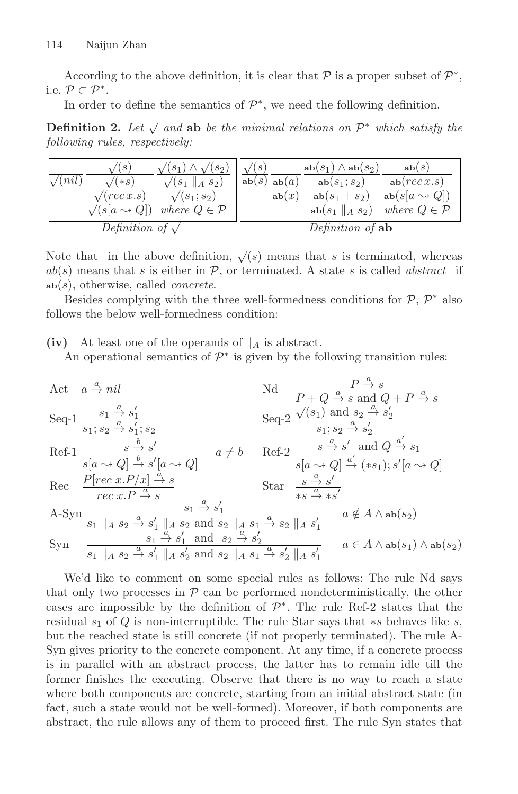<span id="page-4-0"></span>According to the above definition, it is clear that  $\mathcal P$  is a proper subset of  $\mathcal P^*$ , i.e.  $\mathcal{P} \subset \mathcal{P}^*$ .

In order to define the semantics of  $\mathcal{P}^*$ , we need the following definition.

**Definition 2.** Let  $\sqrt{a}$  and able the minimal relations on  $\mathcal{P}^*$  which satisfy the *following rules, respectively:*

| $\sqrt{(nil)}$          | $\sqrt{(s)}$<br>$\sqrt{(*s)}$<br>$\sqrt{(rec x.s)}$<br>$\sqrt{s[a \leadsto Q]}$ | $\sqrt{(s_1)} \wedge \sqrt{(s_2)}$<br>$\sqrt{(s_1 \parallel_A s_2)}$<br>$\sqrt{(s_1; s_2)}$<br>where $Q \in \mathcal{P}$ | $\sqrt{(s)}$<br>$ab(s)$ ab $(a)$ | ab(x) | $ab(s_1) \wedge ab(s_2)$<br>$ab(s_1; s_2)$<br>$ab(s_1 + s_2)$<br>$ab(s_1 \  A s_2)$ | ab(s)<br>ab( <i>rec</i> x.s)<br>$ab(s[a \leadsto Q])$<br>where $Q \in \mathcal{P}$ |
|-------------------------|---------------------------------------------------------------------------------|--------------------------------------------------------------------------------------------------------------------------|----------------------------------|-------|-------------------------------------------------------------------------------------|------------------------------------------------------------------------------------|
| Definition of $\sqrt{}$ |                                                                                 |                                                                                                                          | Definition of ab                 |       |                                                                                     |                                                                                    |

Note that in the above definition,  $\sqrt{s}$  means that s is terminated, whereas  $ab(s)$  means that s is either in  $P$ , or terminated. A state s is called *abstract* if **ab**(s), otherwise, called *concrete*.

Besides complying with the three well-formedness conditions for  $P, P^*$  also follows the below well-formedness condition:

(iv) At least one of the operands of  $\parallel_A$  is abstract.

An operational semantics of  $\mathcal{P}^*$  is given by the following transition rules:

Act  $a \stackrel{a}{\rightarrow} nil$  $\stackrel{a}{\rightarrow} nil$  Nd  $\stackrel{P \stackrel{a}{\rightarrow} s}{\rightarrow}$  $P + Q \stackrel{a}{\rightarrow} s$  and  $Q + P \stackrel{a}{\rightarrow} s$ Seq-1  $\frac{s_1 \stackrel{a}{\rightarrow} s'_1}{\cdots}$  $s_1; s_2 \stackrel{a}{\to} s'_1; s_2$   $s_1; s_2 \stackrel{a}{\to} s'_2$ Seq-2  $\frac{\sqrt{(s_1)}$  and  $s_2 \stackrel{a}{\rightarrow} s'_2}{a}$  $s_1; s_2 \stackrel{a}{\rightarrow} s_2'$ Ref-1  $\frac{s}{s[a \leadsto Q]} \frac{b}{b} s'$ <br> $s'[a \leadsto Q]$  $a \neq b$  Ref-2  $\frac{s}{\rightarrow} s'$  and  $Q \stackrel{a'}{\rightarrow} s_1$  $s[a \leadsto Q] \stackrel{a'}{\rightarrow} (*s_1); s'[a \leadsto Q]$ Rec  $\frac{P[rec \ x.P/x] \stackrel{a}{\rightarrow} s}{P}$  $rec x.P \stackrel{a}{\rightarrow} s$ Rec  $\frac{P[rec\ x.P/x] \stackrel{a}{\rightarrow} s}{rec\ x.P \stackrel{a}{\rightarrow} s}$  Star  $\frac{s \stackrel{a}{\rightarrow} s'}{s s \stackrel{a}{\rightarrow} * s'}$ <br>A-Syn  $\frac{a}{\cdots}$   $\frac{a}{\cdots}$   $\frac{a}{\cdots}$   $\frac{a}{\cdots}$  $s_1 \parallel_A s_2 \stackrel{a}{\rightarrow} s'_1 \parallel_A s_2$  and  $s_2 \parallel_A s_1 \stackrel{a}{\rightarrow} s_2 \parallel_A s'_1$  $a \notin A \wedge ab(s_2)$ Syn  $\frac{s_1}{a} \xrightarrow{a} s'_1$  and  $s_2 \xrightarrow{a} s'_2$  $s_1 \parallel_A s_2 \stackrel{a}{\to} s'_1 \parallel_A s'_2$  and  $s_2 \parallel_A s_1 \stackrel{a}{\to} s'_2 \parallel_A s'_1$  $a \in A \wedge \texttt{ab}(s_1) \wedge \texttt{ab}(s_2)$ 

We'd like to comment on some special rules as follows: The rule Nd says that only two processes in  $P$  can be performed nondeterministically, the other cases are impossible by the definition of  $\mathcal{P}^*$ . The rule Ref-2 states that the residual  $s_1$  of Q is non-interruptible. The rule Star says that  $\ast s$  behaves like s, but the reached state is still concrete (if not properly terminated). The rule A-Syn gives priority to the concrete component. At any time, if a concrete process is in parallel with an abstract process, the latter has to remain idle till the former finishes the executing. Observe that there is no way to reach a state where both components are concrete, starting from an initial abstract state (in fact, such a state would not be well-formed). Moreover, if both components are abstract, the rule allows any of them to proceed first. The rule Syn states that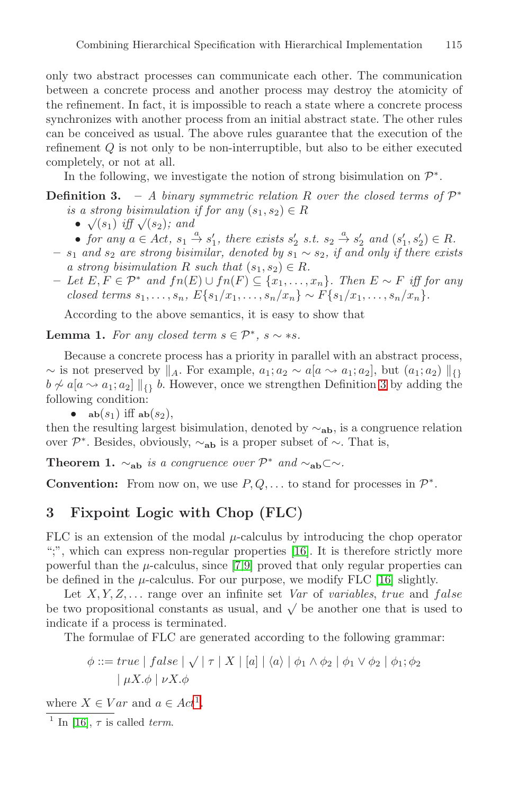only two abstract processes can communicate each other. The communication between a concrete process and another process may destroy the atomicity of the refinement. In fact, it is impossible to reach a state where a concrete process synchronizes with another process from an initial abstract state. The other rules can be conceived as usual. The above rules guarantee that the execution of the refinement Q is not only to be non-interruptible, but also to be either executed completely, or not at all.

In the following, we investigate the notion of strong bisimulation on  $\mathcal{P}^*$ .

## **Definition 3.** – *A binary symmetric relation* R *over the closed terms of*  $\mathcal{P}^*$ *is a strong bisimulation if for any*  $(s_1, s_2) \in R$

- $\sqrt{(s_1)}$  *iff*  $\sqrt{(s_2)}$ *;* and
- *for any*  $a \in Act$ ,  $s_1 \stackrel{a}{\rightarrow} s'_1$ , there exists  $s'_2$  s.t.  $s_2 \stackrel{a}{\rightarrow} s'_2$  and  $(s'_1, s'_2) \in R$ .
- $s<sub>1</sub>$  *and*  $s<sub>2</sub>$  *are strong bisimilar, denoted by*  $s<sub>1</sub> ∼ s<sub>2</sub>$ *, if and only if there exists a* strong bisimulation R such that  $(s_1, s_2) \in R$ .
- **–** *Let* E,F ∈ P<sup>∗</sup> *and* fn(E) ∪ fn(F) ⊆ {x1,...,xn}*. Then* E ∼ F *iff for any closed terms*  $s_1, \ldots, s_n$ ,  $E\{s_1/x_1, \ldots, s_n/x_n\} \sim F\{s_1/x_1, \ldots, s_n/x_n\}.$

According to the above semantics, it is easy to show that

**Lemma 1.** *For any closed term*  $s \in \mathcal{P}^*$ *,*  $s \sim *s$ *.* 

Because a concrete process has a priority in parallel with an abstract process,  $\sim$  is not preserved by  $\parallel_A$ . For example,  $a_1; a_2 \sim a \mid a \sim a_1; a_2$ , but  $(a_1; a_2) \parallel_{\Omega}$  $b \not\sim a[a \rightarrow a_1; a_2] \parallel_{\{\} b}$ . However, once we strengthen Definition 3 by adding the following condition:

•  $ab(s_1)$  iff  $ab(s_2)$ ,

then the resulting largest bisimulation, denoted by ∼**ab**, is a congruence relation over  $\mathcal{P}^*$ . Besides, obviously,  $\sim_{ab}$  is a proper subset of  $\sim$ . That is,

**Theorem 1.**  $\sim_{ab}$  *is a congruence over*  $\mathcal{P}^*$  *and*  $\sim_{ab} \subset \sim$ *.* 

**Convention:** From now on, we use  $P, Q, \ldots$  to stand for processes in  $\mathcal{P}^*$ .

## **3 Fixpoint Logic with Chop (FLC)**

FLC is an extension of the modal  $\mu$ -calculus by introducing the chop operator ";", which can express non-regular properties [\[16](#page-14-0)]. It is therefore strictly more powerful than the  $\mu$ -calculus, since [\[7,9](#page-14-0)] proved that only regular properties can be defined in the  $\mu$ -calculus. For our purpose, we modify FLC [\[16](#page-14-0)] slightly.

Let  $X, Y, Z, \ldots$  range over an infinite set *Var* of *variables*, *true* and *false* be two propositional constants as usual, and  $\sqrt{\ }$  be another one that is used to indicate if a process is terminated.

The formulae of FLC are generated according to the following grammar:

$$
\phi ::= true \mid false \mid \sqrt{\mid \tau \mid X \mid [a] \mid \langle a \rangle \mid \phi_1 \land \phi_2 \mid \phi_1 \lor \phi_2 \mid \phi_1; \phi_2}
$$

$$
\mid \mu X. \phi \mid \nu X. \phi
$$

where  $X \in Var$  and  $a \in Act^1$ .

<sup>1</sup> In [\[16](#page-14-0)],  $\tau$  is called term.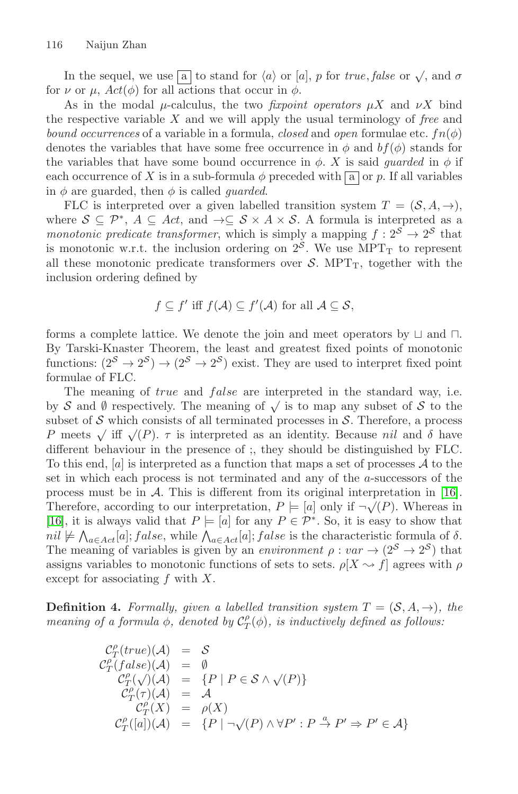In the sequel, we use  $\boxed{a}$  to stand for  $\langle a \rangle$  or  $[a]$ , p for *true*, *false* or  $\sqrt{ }$ , and  $\sigma$ for  $\nu$  or  $\mu$ ,  $Act(\phi)$  for all actions that occur in  $\phi$ .

As in the modal  $\mu$ -calculus, the two *fixpoint operators*  $\mu X$  and  $\nu X$  bind the respective variable X and we will apply the usual terminology of *free* and *bound occurrences* of a variable in a formula, *closed* and *open* formulae etc.  $fn(\phi)$ denotes the variables that have some free occurrence in  $\phi$  and  $bf(\phi)$  stands for the variables that have some bound occurrence in  $\phi$ . X is said *guarded* in  $\phi$  if each occurrence of X is in a sub-formula  $\phi$  preceded with  $\boxed{a}$  or p. If all variables in  $\phi$  are guarded, then  $\phi$  is called *guarded*.

FLC is interpreted over a given labelled transition system  $T = (S, A, \rightarrow),$ where  $S \subseteq \mathcal{P}^*$ ,  $A \subseteq Act$ , and  $\rightarrow \subseteq S \times A \times S$ . A formula is interpreted as a *monotonic predicate transformer*, which is simply a mapping  $f : 2^S \rightarrow 2^S$  that is monotonic w.r.t. the inclusion ordering on  $2<sup>S</sup>$ . We use MPT<sub>T</sub> to represent all these monotonic predicate transformers over  $S$ . MPT<sub>T</sub>, together with the inclusion ordering defined by

$$
f \subseteq f'
$$
 iff  $f(A) \subseteq f'(A)$  for all  $A \subseteq S$ ,

forms a complete lattice. We denote the join and meet operators by  $\sqcup$  and  $\sqcap$ . By Tarski-Knaster Theorem, the least and greatest fixed points of monotonic functions:  $(2^S \rightarrow 2^S) \rightarrow (2^S \rightarrow 2^S)$  exist. They are used to interpret fixed point formulae of FLC.

The meaning of *true* and *false* are interpreted in the standard way, i.e. by S and Ø respectively. The meaning of  $\sqrt{\ }$  is to map any subset of S to the subset of  $S$  which consists of all terminated processes in  $S$ . Therefore, a process P meets  $\sqrt{if} \sqrt{P}$ .  $\tau$  is interpreted as an identity. Because nil and  $\delta$  have different behaviour in the presence of ;, they should be distinguished by FLC. To this end,  $[a]$  is interpreted as a function that maps a set of processes  $A$  to the set in which each process is not terminated and any of the a-successors of the process must be in A. This is different from its original interpretation in [\[16](#page-14-0)]. Therefore, according to our interpretation,  $P \models [a]$  only if  $\neg \sqrt{(P)}$ . Whereas in [\[16](#page-14-0)], it is always valid that  $P \models [a]$  for any  $P \in \mathcal{P}^*$ . So, it is easy to show that  $nil \not\models \bigwedge_{a \in Act}[a]; false$ , while  $\bigwedge_{a \in Act}[a]; false$  is the characteristic formula of  $\delta$ . The meaning of variables is given by an *environment*  $\rho : var \rightarrow (2^S \rightarrow 2^S)$  that assigns variables to monotonic functions of sets to sets.  $\rho[X \sim f]$  agrees with  $\rho$ except for associating  $f$  with  $X$ .

**Definition 4.** *Formally, given a labelled transition system*  $T = (S, A, \rightarrow)$ *, the meaning of a formula*  $\phi$ *, denoted by*  $C_T^{\rho}(\phi)$ *, is inductively defined as follows:* 

$$
C_T^{\rho}(true)(\mathcal{A}) = \mathcal{S}
$$
  
\n
$$
C_T^{\rho}(false)(\mathcal{A}) = \emptyset
$$
  
\n
$$
C_T^{\rho}(\sqrt{)(\mathcal{A}}) = \{P \mid P \in \mathcal{S} \land \sqrt{P}\}
$$
  
\n
$$
C_T^{\rho}(\tau)(\mathcal{A}) = \mathcal{A}
$$
  
\n
$$
C_T^{\rho}(\mathcal{X}) = \rho(\mathcal{X})
$$
  
\n
$$
C_T^{\rho}([a])(\mathcal{A}) = \{P \mid \neg \sqrt{P} \land \forall P' : P \stackrel{a}{\rightarrow} P' \Rightarrow P' \in \mathcal{A}\}
$$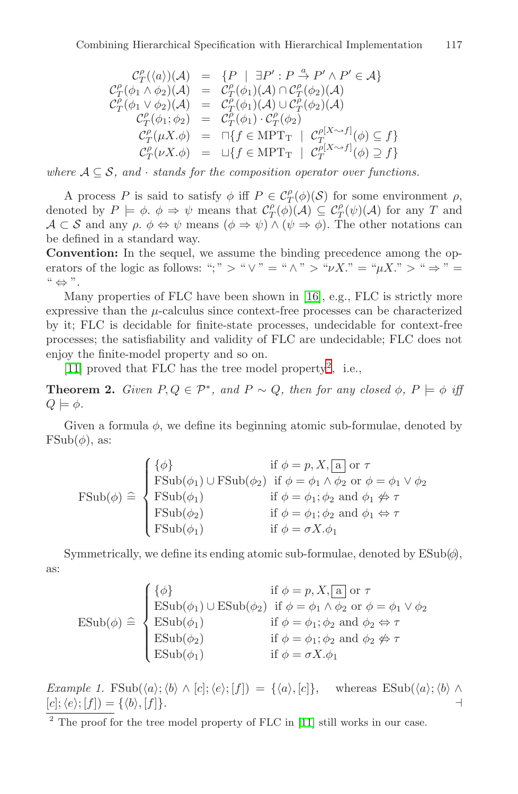$$
\begin{array}{rcl}\n\mathcal{C}_T^{\rho}(\langle a \rangle)(\mathcal{A}) & = & \{P \mid \exists P' : P \xrightarrow{\alpha} P' \land P' \in \mathcal{A} \} \\
\mathcal{C}_T^{\rho}(\phi_1 \land \phi_2)(\mathcal{A}) & = & \mathcal{C}_T^{\rho}(\phi_1)(\mathcal{A}) \cap \mathcal{C}_T^{\rho}(\phi_2)(\mathcal{A}) \\
\mathcal{C}_T^{\rho}(\phi_1 \lor \phi_2)(\mathcal{A}) & = & \mathcal{C}_T^{\rho}(\phi_1)(\mathcal{A}) \cup \mathcal{C}_T^{\rho}(\phi_2)(\mathcal{A}) \\
\mathcal{C}_T^{\rho}(\phi_1; \phi_2) & = & \mathcal{C}_T^{\rho}(\phi_1) \cdot \mathcal{C}_T^{\rho}(\phi_2) \\
\mathcal{C}_T^{\rho}(\mu X. \phi) & = & \Box \{f \in \text{MPT}_{\text{T}} \mid \mathcal{C}_T^{\rho[X \sim f]}(\phi) \subseteq f\} \\
\mathcal{C}_T^{\rho}(\nu X. \phi) & = & \Box \{f \in \text{MPT}_{\text{T}} \mid \mathcal{C}_T^{\rho[X \sim f]}(\phi) \supseteq f\}\n\end{array}
$$

*where*  $A \subseteq S$ *, and* · *stands for the composition operator over functions.* 

A process P is said to satisfy  $\phi$  iff  $P \in C_T^{\rho}(\phi)(\mathcal{S})$  for some environment  $\rho$ , denoted by  $P \models \phi \colon \phi \Rightarrow \psi$  means that  $\mathcal{C}^{\rho}_{T}(\phi)(\mathcal{A}) \subseteq \mathcal{C}^{\rho}_{T}(\psi)(\mathcal{A})$  for any T and  $\mathcal{A}\subset\mathcal{S}$  and any  $\rho$ .  $\phi \Leftrightarrow \psi$  means  $(\phi \Rightarrow \psi) \wedge (\psi \Rightarrow \phi)$ . The other notations can be defined in a standard way.

**Convention:** In the sequel, we assume the binding precedence among the operators of the logic as follows: ";" > " $\vee$ " = " $\wedge$ " > " $\nu X$ ." = " $\mu X$ ." > " $\Rightarrow$ " =  $" \Leftrightarrow"$ .

Many properties of FLC have been shown in [\[16](#page-14-0)], e.g., FLC is strictly more expressive than the  $\mu$ -calculus since context-free processes can be characterized by it; FLC is decidable for finite-state processes, undecidable for context-free processes; the satisfiability and validity of FLC are undecidable; FLC does not enjoy the finite-model property and so on.

[\[11](#page-14-0)] proved that FLC has the tree model property<sup>2</sup>, i.e.,

**Theorem 2.** *Given*  $P, Q \in \mathcal{P}^*$ *, and*  $P \sim Q$ *, then for any closed*  $\phi, P \models \phi$  *iff*  $Q \models \phi$ .

Given a formula  $\phi$ , we define its beginning atomic sub-formulae, denoted by  $\text{FSub}(\phi)$ , as:

$$
\text{FSub}(\phi) \triangleq \begin{cases} \{\phi\} & \text{if } \phi = p, X, \boxed{\text{a}} \text{ or } \tau \\ \text{FSub}(\phi_1) \cup \text{FSub}(\phi_2) & \text{if } \phi = \phi_1 \land \phi_2 \text{ or } \phi = \phi_1 \lor \phi_2 \\ \text{FSub}(\phi_1) & \text{if } \phi = \phi_1; \phi_2 \text{ and } \phi_1 \nleftrightarrow \tau \\ \text{FSub}(\phi_2) & \text{if } \phi = \phi_1; \phi_2 \text{ and } \phi_1 \nleftrightarrow \tau \\ \text{FSub}(\phi_1) & \text{if } \phi = \sigma X. \phi_1 \end{cases}
$$

Symmetrically, we define its ending atomic sub-formulae, denoted by  $\text{ESub}(\phi)$ , as:

$$
\text{ESub}(\phi) \triangleq \begin{cases} \{\phi\} & \text{if } \phi = p, X, \boxed{\mathbf{a}} \text{ or } \tau \\ \text{ESub}(\phi_1) \cup \text{ESub}(\phi_2) & \text{if } \phi = \phi_1 \land \phi_2 \text{ or } \phi = \phi_1 \lor \phi_2 \\ \text{ESub}(\phi_1) & \text{if } \phi = \phi_1; \phi_2 \text{ and } \phi_2 \Leftrightarrow \tau \\ \text{ESub}(\phi_2) & \text{if } \phi = \phi_1; \phi_2 \text{ and } \phi_2 \nleftrightarrow \tau \\ \text{ESub}(\phi_1) & \text{if } \phi = \sigma X. \phi_1 \end{cases}
$$

*Example 1.* FSub $(\langle a \rangle; \langle b \rangle \wedge [c]; \langle e \rangle; [f]) = {\langle \langle a \rangle, [c]}$ , whereas ESub $(\langle a \rangle; \langle b \rangle \wedge$  $[c]; \langle e \rangle; [f]) = {\langle \langle b \rangle}$ ,  $[f]$ .

<sup>2</sup> The proof for the tree model property of FLC in [\[11](#page-14-0)] still works in our case.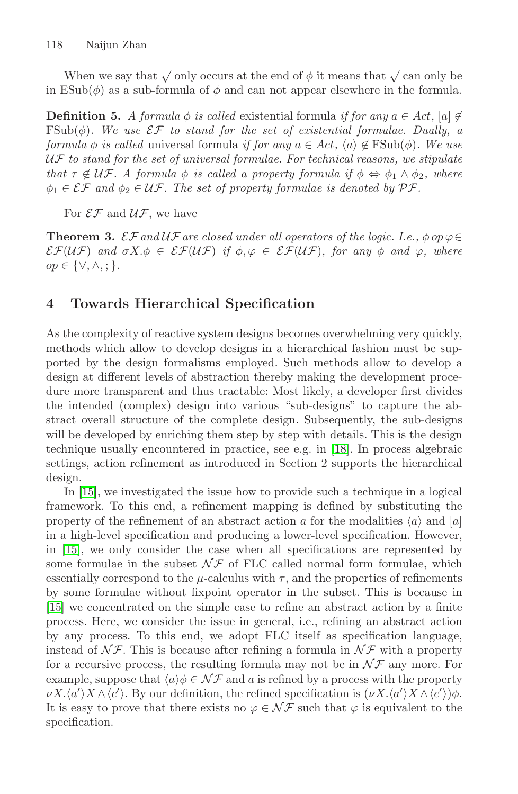When we say that  $\sqrt{\text{only occurs}}$  at the end of  $\phi$  it means that  $\sqrt{\text{can only}}$  be in  $\text{ESub}(\phi)$  as a sub-formula of  $\phi$  and can not appear elsewhere in the formula.

**Definition 5.** *A formula*  $\phi$  *is called* existential formula *if for any*  $a \in Act$ ,  $[a] \notin$ FSub $(\phi)$ *. We use*  $\mathcal{EF}$  *to stand for the set of existential formulae. Dually, a formula*  $\phi$  *is called* universal formula *if for any*  $a \in Act$ ,  $\langle a \rangle \notin \text{FSub}(\phi)$ . We use UF *to stand for the set of universal formulae. For technical reasons, we stipulate that*  $\tau \notin \mathcal{UF}$ *.* A formula  $\phi$  *is called a property formula if*  $\phi \Leftrightarrow \phi_1 \wedge \phi_2$ *, where*  $\phi_1 \in \mathcal{EF}$  and  $\phi_2 \in \mathcal{UF}$ . The set of property formulae is denoted by  $\mathcal{PF}$ .

For  $\mathcal{EF}$  and  $\mathcal{UF}$ , we have

**Theorem 3.**  $\mathcal{EF}$  *and*  $\mathcal{UF}$  *are closed under all operators of the logic. I.e.,*  $\phi$  *op*  $\varphi \in$  $\mathcal{E}\mathcal{F}(\mathcal{U}\mathcal{F})$  *and*  $\sigma X.\phi \in \mathcal{E}\mathcal{F}(\mathcal{U}\mathcal{F})$  *if*  $\phi, \varphi \in \mathcal{E}\mathcal{F}(\mathcal{U}\mathcal{F})$ *, for any*  $\phi$  *and*  $\varphi$ *, where* op ∈ {∨,∧, ; }*.*

## **4 Towards Hierarchical Specification**

As the complexity of reactive system designs becomes overwhelming very quickly, methods which allow to develop designs in a hierarchical fashion must be supported by the design formalisms employed. Such methods allow to develop a design at different levels of abstraction thereby making the development procedure more transparent and thus tractable: Most likely, a developer first divides the intended (complex) design into various "sub-designs" to capture the abstract overall structure of the complete design. Subsequently, the sub-designs will be developed by enriching them step by step with details. This is the design technique usually encountered in practice, see e.g. in [\[18](#page-14-0)]. In process algebraic settings, action refinement as introduced in Section 2 supports the hierarchical design.

In [\[15](#page-14-0)], we investigated the issue how to provide such a technique in a logical framework. To this end, a refinement mapping is defined by substituting the property of the refinement of an abstract action a for the modalities  $\langle a \rangle$  and  $[a]$ in a high-level specification and producing a lower-level specification. However, in [\[15](#page-14-0)], we only consider the case when all specifications are represented by some formulae in the subset  $\mathcal{N} \mathcal{F}$  of FLC called normal form formulae, which essentially correspond to the  $\mu$ -calculus with  $\tau$ , and the properties of refinements by some formulae without fixpoint operator in the subset. This is because in [\[15](#page-14-0)] we concentrated on the simple case to refine an abstract action by a finite process. Here, we consider the issue in general, i.e., refining an abstract action by any process. To this end, we adopt FLC itself as specification language, instead of  $N\mathcal{F}$ . This is because after refining a formula in  $N\mathcal{F}$  with a property for a recursive process, the resulting formula may not be in  $\mathcal{NF}$  any more. For example, suppose that  $\langle a \rangle \phi \in \mathcal{NF}$  and a is refined by a process with the property  $\nu X. \langle a' \rangle X \wedge \langle c' \rangle$ . By our definition, the refined specification is  $(\nu X. \langle a' \rangle X \wedge \langle c' \rangle) \phi$ . It is easy to prove that there exists no  $\varphi \in \mathcal{NF}$  such that  $\varphi$  is equivalent to the specification.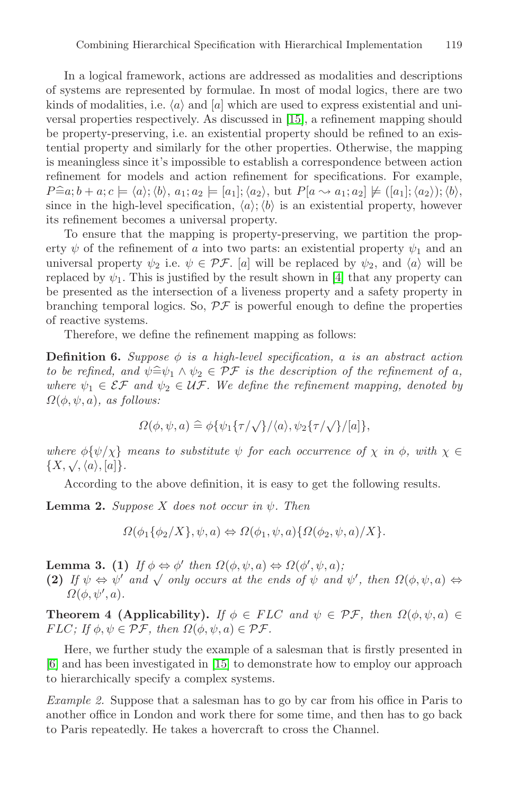<span id="page-9-0"></span>In a logical framework, actions are addressed as modalities and descriptions of systems are represented by formulae. In most of modal logics, there are two kinds of modalities, i.e.  $\langle a \rangle$  and  $[a]$  which are used to express existential and universal properties respectively. As discussed in [\[15](#page-14-0)], a refinement mapping should be property-preserving, i.e. an existential property should be refined to an existential property and similarly for the other properties. Otherwise, the mapping is meaningless since it's impossible to establish a correspondence between action refinement for models and action refinement for specifications. For example,  $P \widehat{=} a; b + a; c \models \langle a \rangle; \langle b \rangle, a_1; a_2 \models [a_1]; \langle a_2 \rangle, \text{ but } P[a \leadsto a_1; a_2] \not\models ([a_1]; \langle a_2 \rangle); \langle b \rangle,$ since in the high-level specification,  $\langle a \rangle$ ;  $\langle b \rangle$  is an existential property, however its refinement becomes a universal property.

To ensure that the mapping is property-preserving, we partition the property  $\psi$  of the refinement of a into two parts: an existential property  $\psi_1$  and an universal property  $\psi_2$  i.e.  $\psi \in \mathcal{PF}$ . [a] will be replaced by  $\psi_2$ , and  $\langle a \rangle$  will be replaced by  $\psi_1$ . This is justified by the result shown in [\[4](#page-14-0)] that any property can be presented as the intersection of a liveness property and a safety property in branching temporal logics. So,  $\mathcal{PF}$  is powerful enough to define the properties of reactive systems.

Therefore, we define the refinement mapping as follows:

**Definition 6.** *Suppose*  $\phi$  *is a high-level specification, a is an abstract action to be refined, and*  $\psi \cong \psi_1 \wedge \psi_2 \in \mathcal{PF}$  *is the description of the refinement of a,*<br>where  $\psi_1 \in \mathcal{SF}$  and  $\psi_2 \in \mathcal{HF}$ . We define the refinement manning, denoted by *where*  $\psi_1 \in \mathcal{EF}$  and  $\psi_2 \in \mathcal{UF}$ . We define the refinement mapping, denoted by  $\Omega(\phi, \psi, a)$ *, as follows:* 

$$
\Omega(\phi,\psi,a) \cong \phi\{\psi_1\{\tau/\sqrt{\}}/\langle a\rangle,\psi_2\{\tau/\sqrt{\}}/[a]\},\
$$

*where*  $\phi{\psi}{\chi}$  *means to substitute*  $\psi$  *for each occurrence of*  $\chi$  *in*  $\phi$ *, with*  $\chi \in$  ${u \in \mathcal{U} \in \mathcal{V}(\mathcal{U}) \setminus \mathcal{X}} \{X, \sqrt{\mathcal{A}}, \{a\}, [a]\}.$ 

According to the above definition, it is easy to get the following results.

**Lemma 2.** *Suppose* X *does not occur in*  $\psi$ *. Then* 

$$
\Omega(\phi_1\{\phi_2/X\}, \psi, a) \Leftrightarrow \Omega(\phi_1, \psi, a)\{\Omega(\phi_2, \psi, a)/X\}.
$$

**Lemma 3.** (1) *If*  $\phi \Leftrightarrow \phi'$  *then*  $\Omega(\phi, \psi, a) \Leftrightarrow \Omega(\phi', \psi, a)$ ;

**(2)** *If*  $\psi \Leftrightarrow \psi'$  *and*  $\sqrt{\text{only occurs at the ends of } \psi \text{ and } \psi'$ , *then*  $\Omega(\phi, \psi, a) \Leftrightarrow$  $\Omega(\phi, \psi', a)$ .

**Theorem 4 (Applicability).** *If*  $\phi \in FLC$  *and*  $\psi \in \mathcal{PF}$ *, then*  $\Omega(\phi, \psi, a) \in$  $FLC; \textit{If } \phi, \psi \in \mathcal{PF}, \textit{ then } \Omega(\phi, \psi, a) \in \mathcal{PF}.$ 

Here, we further study the example of a salesman that is firstly presented in [\[6](#page-14-0)] and has been investigated in [\[15](#page-14-0)] to demonstrate how to employ our approach to hierarchically specify a complex systems.

*Example 2.* Suppose that a salesman has to go by car from his office in Paris to another office in London and work there for some time, and then has to go back to Paris repeatedly. He takes a hovercraft to cross the Channel.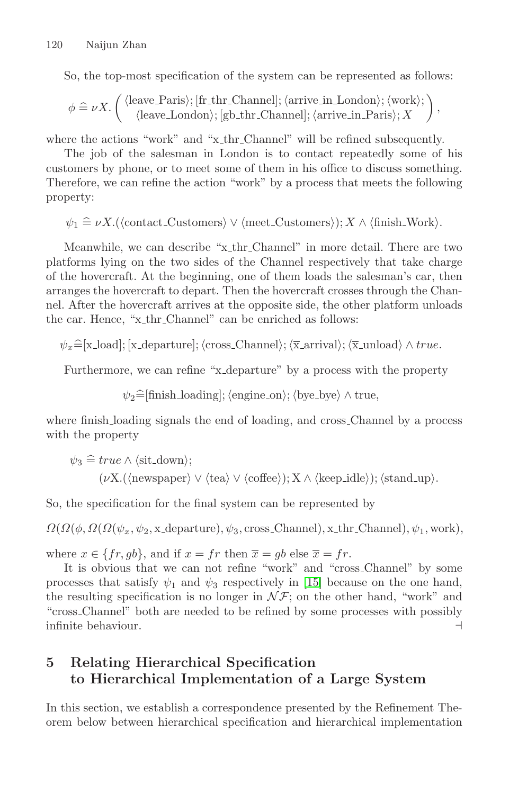So, the top-most specification of the system can be represented as follows:

$$
\phi \mathrel{\widehat{=}} \nu X. \left( \begin{array}{c} \langle leave\_Paris \rangle; [fr_thr\_Channel]; \langle arrive\_in\_London \rangle; \langle work \rangle; \\ \langle leave\_London \rangle; [gb_thr\_Channel]; \langle arrive\_in\_Paris \rangle; X \end{array} \right),
$$

where the actions "work" and "x\_thr\_Channel" will be refined subsequently.

The job of the salesman in London is to contact repeatedly some of his customers by phone, or to meet some of them in his office to discuss something. Therefore, we can refine the action "work" by a process that meets the following property:

$$
\psi_1 \cong \nu X.(\langle \text{contact-Customers} \rangle \vee \langle \text{meet-Customers} \rangle); X \wedge \langle \text{finish_Work} \rangle.
$$

Meanwhile, we can describe "x thr Channel" in more detail. There are two platforms lying on the two sides of the Channel respectively that take charge of the hovercraft. At the beginning, one of them loads the salesman's car, then arranges the hovercraft to depart. Then the hovercraft crosses through the Channel. After the hovercraft arrives at the opposite side, the other platform unloads the car. Hence, "x thr Channel" can be enriched as follows:

 $\psi_x \widehat{=} [\text{x\_load}]; [\text{x\_department}]; \langle \text{cross\_Channel} \rangle; \langle \overline{\text{x\_arrival}} \rangle; \langle \overline{\text{x\_unload}} \rangle \wedge true.$ 

Furthermore, we can refine "x-departure" by a process with the property

 $\psi_2 \widehat{=}$ [finish\_loading];  $\langle \text{engine\_on} \rangle$ ;  $\langle \text{bye\_bye} \rangle \wedge \text{true}$ ,

where finish loading signals the end of loading, and cross Channel by a process with the property

$$
\psi_3 \cong true \land \langle situ-down \rangle;
$$
  

$$
(\nu X.(\langle newspaper \rangle \lor \langle tea \rangle \lor \langle coffee \rangle); X \land \langle keep\_idle \rangle); \langle stand\_up \rangle.
$$

So, the specification for the final system can be represented by

 $\Omega(\Omega(\phi, \Omega(\psi_x, \psi_2, \mathbf{x}_0))$  departure),  $\psi_3$ , cross Channel), x thr Channel),  $\psi_1$ , work),

where  $x \in \{fr, gb\}$ , and if  $x = fr$  then  $\overline{x} = gb$  else  $\overline{x} = fr$ .

It is obvious that we can not refine "work" and "cross Channel" by some processes that satisfy  $\psi_1$  and  $\psi_3$  respectively in [\[15](#page-14-0)] because on the one hand, the resulting specification is no longer in  $\mathcal{NF}$ ; on the other hand, "work" and "cross Channel" both are needed to be refined by some processes with possibly infinite behaviour.

# **5 Relating Hierarchical Specification to Hierarchical Implementation of a Large System**

In this section, we establish a correspondence presented by the Refinement Theorem below between hierarchical specification and hierarchical implementation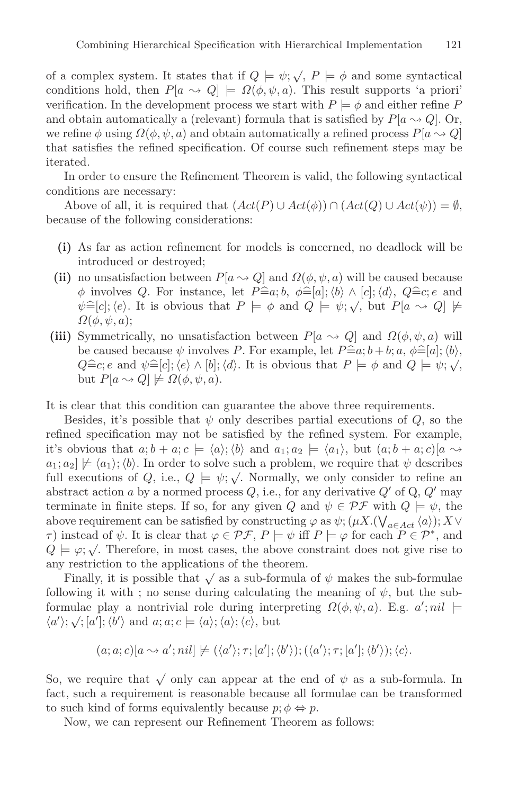of a complex system. It states that if  $Q \models \psi; \sqrt{Q}$ ,  $P \models \phi$  and some syntactical conditions hold, then  $P[a \leadsto Q] \models \Omega(\phi, \psi, a)$ . This result supports 'a priori' verification. In the development process we start with  $P \models \phi$  and either refine P and obtain automatically a (relevant) formula that is satisfied by  $P[a \sim Q]$ . Or, we refine  $\phi$  using  $\Omega(\phi, \psi, a)$  and obtain automatically a refined process  $P[a \rightarrow Q]$ that satisfies the refined specification. Of course such refinement steps may be iterated.

In order to ensure the Refinement Theorem is valid, the following syntactical conditions are necessary:

Above of all, it is required that  $(Act(P) \cup Act(\phi)) \cap (Act(Q) \cup Act(\psi)) = \emptyset$ , because of the following considerations:

- **(i)** As far as action refinement for models is concerned, no deadlock will be introduced or destroyed;
- (ii) no unsatisfaction between  $P[a \sim Q]$  and  $\Omega(\phi, \psi, a)$  will be caused because  $\phi$  involves Q. For instance, let  $P \cong a; b, \phi \cong [a]; \langle b \rangle \wedge [c]; \langle d \rangle$ ,  $Q \cong c; e$  and  $\phi \cong [c] \cdot (e)$ . It is obvious that  $P \vdash \phi$  and  $Q \vdash \psi$ .  $\phi$  but  $P[a, \phi] \uparrow \phi$  $\psi \triangleq [c]$ ; (e). It is obvious that  $P \models \phi$  and  $Q \models \psi; \sqrt{\phi}$ , but  $P[a \leadsto Q] \not\models Q(a, \psi, a)$ .  $\Omega(\phi, \psi, a);$
- **(iii)** Symmetrically, no unsatisfaction between  $P[a \leadsto Q]$  and  $\Omega(\phi, \psi, a)$  will be caused because  $\psi$  involves P. For example, let  $P = a$ ;  $b + b$ ;  $a, \phi = [a]$ ;  $\langle b \rangle$ ,  $\Omega = c \cdot e$  and  $\psi = [c] \cdot (e) \wedge [b] \cdot (d)$ . It is obvious that  $P \vdash \phi$  and  $Q \vdash \psi \cdot \psi$ . be caused because  $\psi$  involves  $T$ . For example, let  $T = u, v + v, u, \psi = [a], \forall v$ ,<br>  $Q \cong c$ ; e and  $\psi \cong [c]$ ;  $\langle e \rangle \wedge [b]$ ;  $\langle d \rangle$ . It is obvious that  $P \models \phi$  and  $Q \models \psi; \sqrt{\langle e, e \rangle}$ but  $P[a \leadsto Q] \not\models \Omega(\phi, \psi, a)$ .

It is clear that this condition can guarantee the above three requirements.

Besides, it's possible that  $\psi$  only describes partial executions of  $Q$ , so the refined specification may not be satisfied by the refined system. For example, it's obvious that  $a; b + a; c \models \langle a \rangle; \langle b \rangle$  and  $a_1; a_2 \models \langle a_1 \rangle$ , but  $(a; b + a; c)[a \leadsto$  $a_1; a_2] \not\models \langle a_1 \rangle; \langle b \rangle$ . In order to solve such a problem, we require that  $\psi$  describes full executions of Q, i.e.,  $Q \models \psi$ ;  $\sqrt{\cdot}$  Normally, we only consider to refine an abstract action a by a normed process  $Q$ , i.e., for any derivative  $Q'$  of  $Q$ ,  $Q'$  may terminate in finite steps. If so, for any given Q and  $\psi \in \mathcal{PF}$  with  $Q \models \psi$ , the above requirement can be satisfied by constructing  $\varphi$  as  $\psi$ ;  $(\mu X.(\bigvee_{a \in Act} \langle a \rangle); X \vee$  $τ$ ) instead of  $ψ$ . It is clear that  $φ ∈ PF$ ,  $P \models ψ$  iff  $P \models φ$  for each  $P ∈ P^*$ , and  $Q \models \varphi; \sqrt{\ }$ . Therefore, in most cases, the above constraint does not give rise to any restriction to the applications of the theorem.

Finally, it is possible that  $\sqrt{\ }$  as a sub-formula of  $\psi$  makes the sub-formulae following it with ; no sense during calculating the meaning of  $\psi$ , but the subformulae play a nontrivial role during interpreting  $\Omega(\phi, \psi, a)$ . E.g.  $a'; nil \models$ formulae play a homitivial fole during line.<br>  $\langle a' \rangle$ ;  $\langle \cdot | a' |$ ;  $\langle b' \rangle$  and  $a; a; c \models \langle a \rangle$ ;  $\langle a \rangle$ ;  $\langle c \rangle$ , but

$$
(a; a; c)[a \leadsto a'; nil] \not\models (\langle a' \rangle; \tau; [a']; \langle b' \rangle); (\langle a' \rangle; \tau; [a']; \langle b' \rangle); \langle c \rangle.
$$

So, we require that  $\sqrt{\ }$  only can appear at the end of  $\psi$  as a sub-formula. In fact, such a requirement is reasonable because all formulae can be transformed to such kind of forms equivalently because  $p; \phi \Leftrightarrow p$ .

Now, we can represent our Refinement Theorem as follows: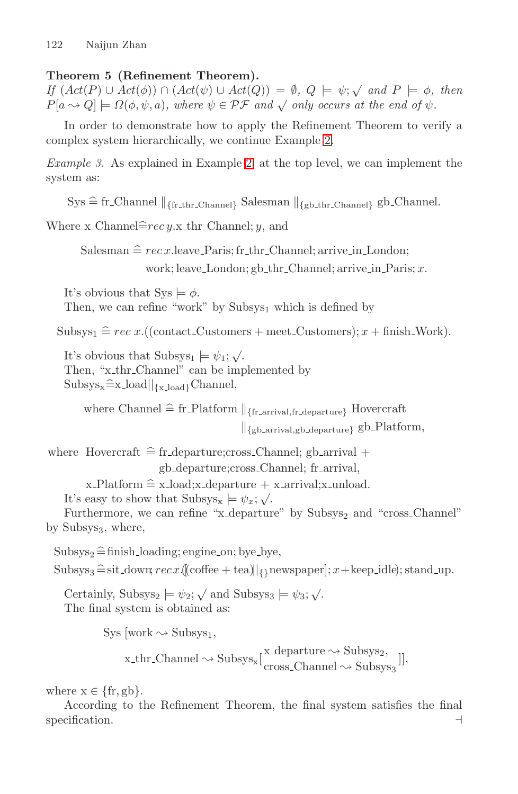## **Theorem 5 (Refinement Theorem).**

*If*  $(Act(P) \cup Act(\phi)) \cap (Act(\psi) \cup Act(Q)) = \emptyset$ ,  $Q \models \psi$ ;  $\sqrt{and} P \models \phi$ , then  $P[a \leadsto Q] \models \Omega(\phi, \psi, a)$ , where  $\psi \in \mathcal{PF}$  and  $\sqrt{\phi}$  only occurs at the end of  $\psi$ .

In order to demonstrate how to apply the Refinement Theorem to verify a complex system hierarchically, we continue Exampl[e](#page-9-0) [2](#page-9-0).

*Example 3.* As explained in Exampl[e](#page-9-0) [2](#page-9-0), at the top level, we can implement the system as:

 $\text{Sys} \cong \text{fr\_Channel} \parallel_{\{\text{fr\_thr\_Channel}\}}$  Salesman  $\parallel_{\{\text{gb\_thr\_Channel}\}}$  gb\_Channel.

Where  $x$ -Channel $\hat{=}$ rec  $y$ . $x$ -thr-Channel;  $y$ , and

Salesman  $\cong rec$  x.leave Paris; fr thr Channel; arrive in London; work; leave\_London; gb\_thr\_Channel; arrive\_in\_Paris;  $x$ .

It's obvious that  $\text{Sys} \models \phi$ . Then, we can refine "work" by Subsys<sub>1</sub> which is defined by

Subsys<sub>1</sub>  $\cong$  rec x.((contact\_Customers + meet\_Customers); x + finish\_Work).

It's obvious that  $\text{Subsys}_1 \models \psi_1; \sqrt{\ }$ . Then, "x\_thr\_Channel" can be implemented by  $\text{Subsys}_x \hat{=} \text{x\_load} \vert_{\{x \perp \text{oad}\}}$ Channel,

where Channel  $\widehat{=}$  fr\_Platform  $\|_{\{\text{fr\_arrival}, \text{fr\_department}\}}$  Hovercraft  $\|_{\{\text{gb\_arrival,gb\_departure\}}\}$  gb\_Platform,

where Hovercraft  $\hat{=}$  fr departure;cross Channel; gb arrival  $+$ 

gb departure;cross Channel; fr arrival,

```
x-Platform \hat{=} x-load;x-departure + x-arrival;x-unload.
```
It's easy to show that  $\text{Subsys}_x \models \psi_x; \sqrt{ }$ .

Furthermore, we can refine "x\_departure" by  $Subsys<sub>2</sub>$  and "cross\_Channel" by Subsys $_3$ , where,

 $\text{Subsys}_2 \triangleq \text{finish\_loading}; \text{engine-on}; \text{bye}.\text{by}$ 

 $\text{Subsys}_3 \, \widehat{=} \, \text{sit-down}, \, \text{rec} \, x \, \text{((cofree + tea)} \, | \, \text{ynewspaper}]; \, x + \text{keep_idle}; \, \text{stand-up}.$ 

Certainly, Subsys<sub>2</sub>  $\models \psi_2$ ;  $\checkmark$  and Subsys<sub>3</sub>  $\models \psi_3$ ;  $\checkmark$ . The final system is obtained as:

Sys [work  $\sim$  Subsys<sub>1</sub>,

$$
x\_{\text{chr\_Channel}} \sim \text{Subsys}_x[\frac{x\_{\text{departure}}}{\text{cross\_Channel}} \sim \text{Subsys}_3]],
$$

where  $x \in \{fr, gb\}.$ 

According to the Refinement Theorem, the final system satisfies the final specification.  $\Box$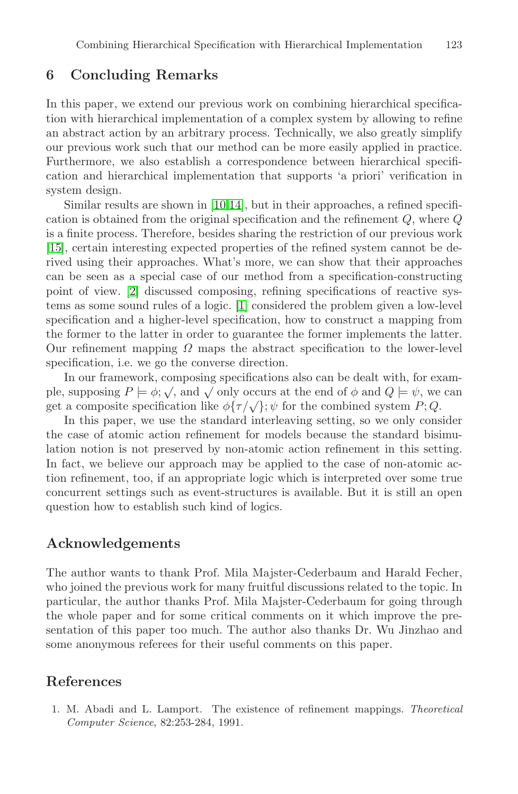#### **6 Concluding Remarks**

In this paper, we extend our previous work on combining hierarchical specification with hierarchical implementation of a complex system by allowing to refine an abstract action by an arbitrary process. Technically, we also greatly simplify our previous work such that our method can be more easily applied in practice. Furthermore, we also establish a correspondence between hierarchical specification and hierarchical implementation that supports 'a priori' verification in system design.

Similar results are shown i[n](#page-14-0) [\[10,14](#page-14-0)], but in their approaches, a refined specification is obtained from the original specification and the refinement Q, where Q is a finite process. Therefore, besides sharing the restriction of our previous work [\[15](#page-14-0)], certain interesting expected properties of the refined system cannot be derived using their approaches. What's more, we can show that their approaches can be seen as a special case of our method from a specification-constructing point of view. [\[2](#page-14-0)] discussed composing, refining specifications of reactive systems as some sound rules of a logic. [1] considered the problem given a low-level specification and a higher-level specification, how to construct a mapping from the former to the latter in order to guarantee the former implements the latter. Our refinement mapping  $\Omega$  maps the abstract specification to the lower-level specification, i.e. we go the converse direction.

In our framework, composing specifications also can be dealt with, for examin our namework, composing specifications also can be dearf with, for example, supposing  $P \models \phi$ ;  $\sqrt{ }$ , and  $\sqrt{ }$  only occurs at the end of  $\phi$  and  $Q \models \psi$ , we can get a composite specification like  $\phi\{\tau/\sqrt{\}}$ ;  $\psi$  for the combined system P; Q.

In this paper, we use the standard interleaving setting, so we only consider the case of atomic action refinement for models because the standard bisimulation notion is not preserved by non-atomic action refinement in this setting. In fact, we believe our approach may be applied to the case of non-atomic action refinement, too, if an appropriate logic which is interpreted over some true concurrent settings such as event-structures is available. But it is still an open question how to establish such kind of logics.

#### **Acknowledgements**

The author wants to thank Prof. Mila Majster-Cederbaum and Harald Fecher, who joined the previous work for many fruitful discussions related to the topic. In particular, the author thanks Prof. Mila Majster-Cederbaum for going through the whole paper and for some critical comments on it which improve the presentation of this paper too much. The author also thanks Dr. Wu Jinzhao and some anonymous referees for their useful comments on this paper.

## **References**

1. M. Abadi and L. Lamport. The existence of refinement mappings. Theoretical Computer Science, 82:253-284, 1991.